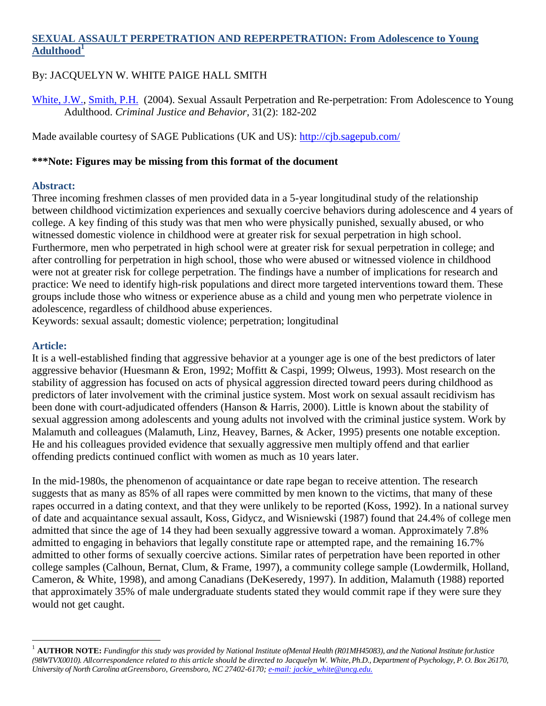# **SEXUAL ASSAULT PERPETRATION AND REPERPETRATION: From Adolescence to Young Adulthood<sup>1</sup>**

## By: JACQUELYN W. WHITE PAIGE HALL SMITH

[White, J.W.,](http://libres.uncg.edu/ir/uncg/clist.aspx?id=475) [Smith, P.H.](http://libres.uncg.edu/ir/uncg/clist.aspx?id=1606) (2004). Sexual Assault Perpetration and Re-perpetration: From Adolescence to Young Adulthood. *Criminal Justice and Behavior,* 31(2): 182-202

Made available courtesy of SAGE Publications (UK and US):<http://cjb.sagepub.com/>

### **\*\*\*Note: Figures may be missing from this format of the document**

### **Abstract:**

Three incoming freshmen classes of men provided data in a 5-year longitudinal study of the relationship between childhood victimization experiences and sexually coercive behaviors during adolescence and 4 years of college. A key finding of this study was that men who were physically punished, sexually abused, or who witnessed domestic violence in childhood were at greater risk for sexual perpetration in high school. Furthermore, men who perpetrated in high school were at greater risk for sexual perpetration in college; and after controlling for perpetration in high school, those who were abused or witnessed violence in childhood were not at greater risk for college perpetration. The findings have a number of implications for research and practice: We need to identify high-risk populations and direct more targeted interventions toward them. These groups include those who witness or experience abuse as a child and young men who perpetrate violence in adolescence, regardless of childhood abuse experiences.

Keywords: sexual assault; domestic violence; perpetration; longitudinal

## **Article:**

 $\overline{a}$ 

It is a well-established finding that aggressive behavior at a younger age is one of the best predictors of later aggressive behavior (Huesmann & Eron, 1992; Moffitt & Caspi, 1999; Olweus, 1993). Most research on the stability of aggression has focused on acts of physical aggression directed toward peers during childhood as predictors of later involvement with the criminal justice system. Most work on sexual assault recidivism has been done with court-adjudicated offenders (Hanson & Harris, 2000). Little is known about the stability of sexual aggression among adolescents and young adults not involved with the criminal justice system. Work by Malamuth and colleagues (Malamuth, Linz, Heavey, Barnes, & Acker, 1995) presents one notable exception. He and his colleagues provided evidence that sexually aggressive men multiply offend and that earlier offending predicts continued conflict with women as much as 10 years later.

In the mid-1980s, the phenomenon of acquaintance or date rape began to receive attention. The research suggests that as many as 85% of all rapes were committed by men known to the victims, that many of these rapes occurred in a dating context, and that they were unlikely to be reported (Koss, 1992). In a national survey of date and acquaintance sexual assault, Koss, Gidycz, and Wisniewski (1987) found that 24.4% of college men admitted that since the age of 14 they had been sexually aggressive toward a woman. Approximately 7.8% admitted to engaging in behaviors that legally constitute rape or attempted rape, and the remaining 16.7% admitted to other forms of sexually coercive actions. Similar rates of perpetration have been reported in other college samples (Calhoun, Bernat, Clum, & Frame, 1997), a community college sample (Lowdermilk, Holland, Cameron, & White, 1998), and among Canadians (DeKeseredy, 1997). In addition, Malamuth (1988) reported that approximately 35% of male undergraduate students stated they would commit rape if they were sure they would not get caught.

<sup>1</sup> **AUTHOR NOTE:** *Fundingfor this study was provided by National Institute ofMental Health (R01MH45083), and the National Institute forJustice (98WTVX0010). Allcorrespondence related to this article should be directed to Jacquelyn W. White,Ph.D., Department of Psychology, P. O. Box 26170, University of North Carolina atGreensboro, Greensboro, NC 27402-6170; [e-mail: jackie\\_white@uncg.edu.](mailto:jackie_white@uncg.edu.)*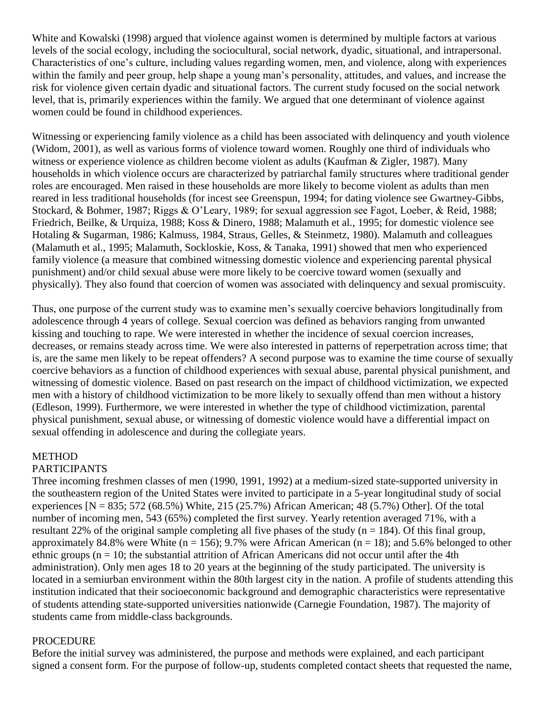White and Kowalski (1998) argued that violence against women is determined by multiple factors at various levels of the social ecology, including the sociocultural, social network, dyadic, situational, and intrapersonal. Characteristics of one's culture, including values regarding women, men, and violence, along with experiences within the family and peer group, help shape a young man's personality, attitudes, and values, and increase the risk for violence given certain dyadic and situational factors. The current study focused on the social network level, that is, primarily experiences within the family. We argued that one determinant of violence against women could be found in childhood experiences.

Witnessing or experiencing family violence as a child has been associated with delinquency and youth violence (Widom, 2001), as well as various forms of violence toward women. Roughly one third of individuals who witness or experience violence as children become violent as adults (Kaufman & Zigler, 1987). Many households in which violence occurs are characterized by patriarchal family structures where traditional gender roles are encouraged. Men raised in these households are more likely to become violent as adults than men reared in less traditional households (for incest see Greenspun, 1994; for dating violence see Gwartney-Gibbs, Stockard, & Bohmer, 1987; Riggs & O'Leary, 1989; for sexual aggression see Fagot, Loeber, & Reid, 1988; Friedrich, Beilke, & Urquiza, 1988; Koss & Dinero, 1988; Malamuth et al., 1995; for domestic violence see Hotaling & Sugarman, 1986; Kalmuss, 1984, Straus, Gelles, & Steinmetz, 1980). Malamuth and colleagues (Malamuth et al., 1995; Malamuth, Sockloskie, Koss, & Tanaka, 1991) showed that men who experienced family violence (a measure that combined witnessing domestic violence and experiencing parental physical punishment) and/or child sexual abuse were more likely to be coercive toward women (sexually and physically). They also found that coercion of women was associated with delinquency and sexual promiscuity.

Thus, one purpose of the current study was to examine men's sexually coercive behaviors longitudinally from adolescence through 4 years of college. Sexual coercion was defined as behaviors ranging from unwanted kissing and touching to rape. We were interested in whether the incidence of sexual coercion increases, decreases, or remains steady across time. We were also interested in patterns of reperpetration across time; that is, are the same men likely to be repeat offenders? A second purpose was to examine the time course of sexually coercive behaviors as a function of childhood experiences with sexual abuse, parental physical punishment, and witnessing of domestic violence. Based on past research on the impact of childhood victimization, we expected men with a history of childhood victimization to be more likely to sexually offend than men without a history (Edleson, 1999). Furthermore, we were interested in whether the type of childhood victimization, parental physical punishment, sexual abuse, or witnessing of domestic violence would have a differential impact on sexual offending in adolescence and during the collegiate years.

### **METHOD**

### PARTICIPANTS

Three incoming freshmen classes of men (1990, 1991, 1992) at a medium-sized state-supported university in the southeastern region of the United States were invited to participate in a 5-year longitudinal study of social experiences  $[N = 835; 572 (68.5%)$  White, 215 (25.7%) African American; 48 (5.7%) Other]. Of the total number of incoming men, 543 (65%) completed the first survey. Yearly retention averaged 71%, with a resultant 22% of the original sample completing all five phases of the study  $(n = 184)$ . Of this final group, approximately 84.8% were White ( $n = 156$ ); 9.7% were African American ( $n = 18$ ); and 5.6% belonged to other ethnic groups ( $n = 10$ ; the substantial attrition of African Americans did not occur until after the 4th administration). Only men ages 18 to 20 years at the beginning of the study participated. The university is located in a semiurban environment within the 80th largest city in the nation. A profile of students attending this institution indicated that their socioeconomic background and demographic characteristics were representative of students attending state-supported universities nationwide (Carnegie Foundation, 1987). The majority of students came from middle-class backgrounds.

## PROCEDURE

Before the initial survey was administered, the purpose and methods were explained, and each participant signed a consent form. For the purpose of follow-up, students completed contact sheets that requested the name,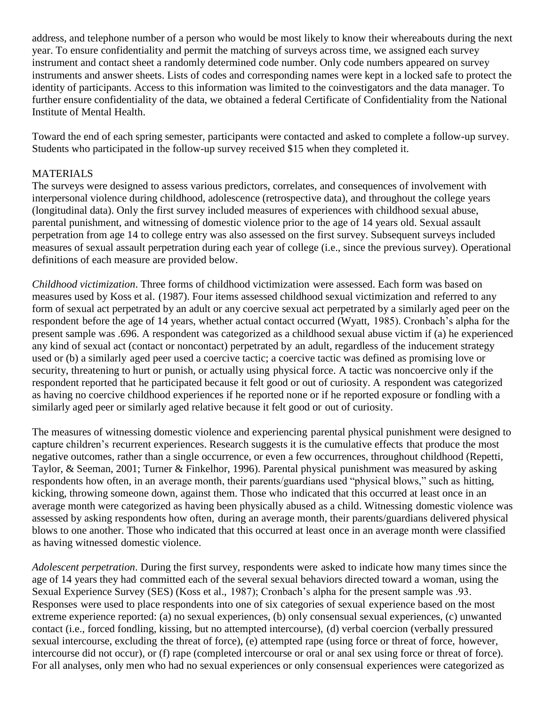address, and telephone number of a person who would be most likely to know their whereabouts during the next year. To ensure confidentiality and permit the matching of surveys across time, we assigned each survey instrument and contact sheet a randomly determined code number. Only code numbers appeared on survey instruments and answer sheets. Lists of codes and corresponding names were kept in a locked safe to protect the identity of participants. Access to this information was limited to the coinvestigators and the data manager. To further ensure confidentiality of the data, we obtained a federal Certificate of Confidentiality from the National Institute of Mental Health.

Toward the end of each spring semester, participants were contacted and asked to complete a follow-up survey. Students who participated in the follow-up survey received \$15 when they completed it.

## **MATERIALS**

The surveys were designed to assess various predictors, correlates, and consequences of involvement with interpersonal violence during childhood, adolescence (retrospective data), and throughout the college years (longitudinal data). Only the first survey included measures of experiences with childhood sexual abuse, parental punishment, and witnessing of domestic violence prior to the age of 14 years old. Sexual assault perpetration from age 14 to college entry was also assessed on the first survey. Subsequent surveys included measures of sexual assault perpetration during each year of college (i.e., since the previous survey). Operational definitions of each measure are provided below.

*Childhood victimization*. Three forms of childhood victimization were assessed. Each form was based on measures used by Koss et al. (1987). Four items assessed childhood sexual victimization and referred to any form of sexual act perpetrated by an adult or any coercive sexual act perpetrated by a similarly aged peer on the respondent before the age of 14 years, whether actual contact occurred (Wyatt, 1985). Cronbach's alpha for the present sample was .696. A respondent was categorized as a childhood sexual abuse victim if (a) he experienced any kind of sexual act (contact or noncontact) perpetrated by an adult, regardless of the inducement strategy used or (b) a similarly aged peer used a coercive tactic; a coercive tactic was defined as promising love or security, threatening to hurt or punish, or actually using physical force. A tactic was noncoercive only if the respondent reported that he participated because it felt good or out of curiosity. A respondent was categorized as having no coercive childhood experiences if he reported none or if he reported exposure or fondling with a similarly aged peer or similarly aged relative because it felt good or out of curiosity.

The measures of witnessing domestic violence and experiencing parental physical punishment were designed to capture children's recurrent experiences. Research suggests it is the cumulative effects that produce the most negative outcomes, rather than a single occurrence, or even a few occurrences, throughout childhood (Repetti, Taylor, & Seeman, 2001; Turner & Finkelhor, 1996). Parental physical punishment was measured by asking respondents how often, in an average month, their parents/guardians used "physical blows," such as hitting, kicking, throwing someone down, against them. Those who indicated that this occurred at least once in an average month were categorized as having been physically abused as a child. Witnessing domestic violence was assessed by asking respondents how often, during an average month, their parents/guardians delivered physical blows to one another. Those who indicated that this occurred at least once in an average month were classified as having witnessed domestic violence.

*Adolescent perpetration*. During the first survey, respondents were asked to indicate how many times since the age of 14 years they had committed each of the several sexual behaviors directed toward a woman, using the Sexual Experience Survey (SES) (Koss et al., 1987); Cronbach's alpha for the present sample was .93. Responses were used to place respondents into one of six categories of sexual experience based on the most extreme experience reported: (a) no sexual experiences, (b) only consensual sexual experiences, (c) unwanted contact (i.e., forced fondling, kissing, but no attempted intercourse), (d) verbal coercion (verbally pressured sexual intercourse, excluding the threat of force), (e) attempted rape (using force or threat of force, however, intercourse did not occur), or (f) rape (completed intercourse or oral or anal sex using force or threat of force). For all analyses, only men who had no sexual experiences or only consensual experiences were categorized as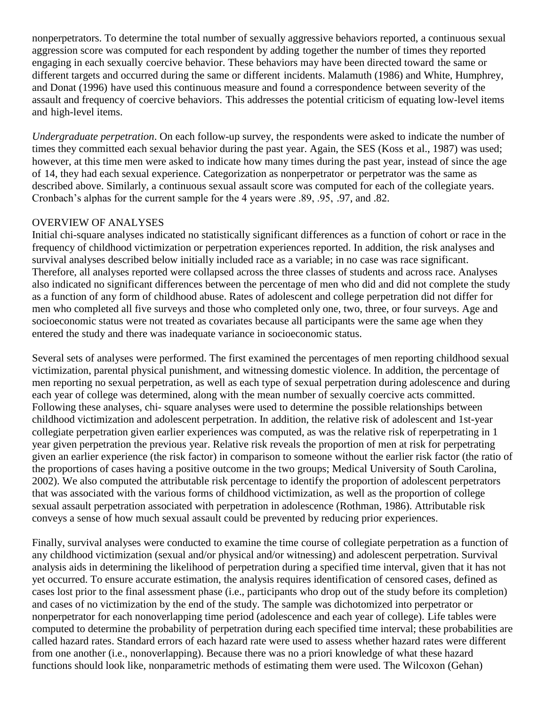nonperpetrators. To determine the total number of sexually aggressive behaviors reported, a continuous sexual aggression score was computed for each respondent by adding together the number of times they reported engaging in each sexually coercive behavior. These behaviors may have been directed toward the same or different targets and occurred during the same or different incidents. Malamuth (1986) and White, Humphrey, and Donat (1996) have used this continuous measure and found a correspondence between severity of the assault and frequency of coercive behaviors. This addresses the potential criticism of equating low-level items and high-level items.

*Undergraduate perpetration*. On each follow-up survey, the respondents were asked to indicate the number of times they committed each sexual behavior during the past year. Again, the SES (Koss et al., 1987) was used; however, at this time men were asked to indicate how many times during the past year, instead of since the age of 14, they had each sexual experience. Categorization as nonperpetrator or perpetrator was the same as described above. Similarly, a continuous sexual assault score was computed for each of the collegiate years. Cronbach's alphas for the current sample for the 4 years were .89, .95, .97, and .82.

## OVERVIEW OF ANALYSES

Initial chi-square analyses indicated no statistically significant differences as a function of cohort or race in the frequency of childhood victimization or perpetration experiences reported. In addition, the risk analyses and survival analyses described below initially included race as a variable; in no case was race significant. Therefore, all analyses reported were collapsed across the three classes of students and across race. Analyses also indicated no significant differences between the percentage of men who did and did not complete the study as a function of any form of childhood abuse. Rates of adolescent and college perpetration did not differ for men who completed all five surveys and those who completed only one, two, three, or four surveys. Age and socioeconomic status were not treated as covariates because all participants were the same age when they entered the study and there was inadequate variance in socioeconomic status.

Several sets of analyses were performed. The first examined the percentages of men reporting childhood sexual victimization, parental physical punishment, and witnessing domestic violence. In addition, the percentage of men reporting no sexual perpetration, as well as each type of sexual perpetration during adolescence and during each year of college was determined, along with the mean number of sexually coercive acts committed. Following these analyses, chi- square analyses were used to determine the possible relationships between childhood victimization and adolescent perpetration. In addition, the relative risk of adolescent and 1st-year collegiate perpetration given earlier experiences was computed, as was the relative risk of reperpetrating in 1 year given perpetration the previous year. Relative risk reveals the proportion of men at risk for perpetrating given an earlier experience (the risk factor) in comparison to someone without the earlier risk factor (the ratio of the proportions of cases having a positive outcome in the two groups; Medical University of South Carolina, 2002). We also computed the attributable risk percentage to identify the proportion of adolescent perpetrators that was associated with the various forms of childhood victimization, as well as the proportion of college sexual assault perpetration associated with perpetration in adolescence (Rothman, 1986). Attributable risk conveys a sense of how much sexual assault could be prevented by reducing prior experiences.

Finally, survival analyses were conducted to examine the time course of collegiate perpetration as a function of any childhood victimization (sexual and/or physical and/or witnessing) and adolescent perpetration. Survival analysis aids in determining the likelihood of perpetration during a specified time interval, given that it has not yet occurred. To ensure accurate estimation, the analysis requires identification of censored cases, defined as cases lost prior to the final assessment phase (i.e., participants who drop out of the study before its completion) and cases of no victimization by the end of the study. The sample was dichotomized into perpetrator or nonperpetrator for each nonoverlapping time period (adolescence and each year of college). Life tables were computed to determine the probability of perpetration during each specified time interval; these probabilities are called hazard rates. Standard errors of each hazard rate were used to assess whether hazard rates were different from one another (i.e., nonoverlapping). Because there was no a priori knowledge of what these hazard functions should look like, nonparametric methods of estimating them were used. The Wilcoxon (Gehan)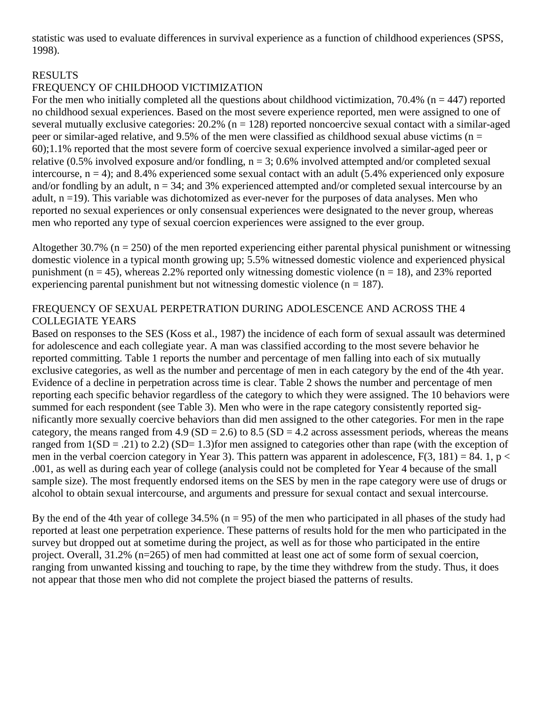statistic was used to evaluate differences in survival experience as a function of childhood experiences (SPSS, 1998).

# RESULTS

# FREQUENCY OF CHILDHOOD VICTIMIZATION

For the men who initially completed all the questions about childhood victimization, 70.4% ( $n = 447$ ) reported no childhood sexual experiences. Based on the most severe experience reported, men were assigned to one of several mutually exclusive categories: 20.2% (n = 128) reported noncoercive sexual contact with a similar-aged peer or similar-aged relative, and  $9.5\%$  of the men were classified as childhood sexual abuse victims (n = 60);1.1% reported that the most severe form of coercive sexual experience involved a similar-aged peer or relative (0.5% involved exposure and/or fondling,  $n = 3$ ; 0.6% involved attempted and/or completed sexual intercourse,  $n = 4$ ); and 8.4% experienced some sexual contact with an adult (5.4% experienced only exposure and/or fondling by an adult,  $n = 34$ ; and 3% experienced attempted and/or completed sexual intercourse by an adult,  $n = 19$ ). This variable was dichotomized as ever-never for the purposes of data analyses. Men who reported no sexual experiences or only consensual experiences were designated to the never group, whereas men who reported any type of sexual coercion experiences were assigned to the ever group.

Altogether 30.7% ( $n = 250$ ) of the men reported experiencing either parental physical punishment or witnessing domestic violence in a typical month growing up; 5.5% witnessed domestic violence and experienced physical punishment ( $n = 45$ ), whereas 2.2% reported only witnessing domestic violence ( $n = 18$ ), and 23% reported experiencing parental punishment but not witnessing domestic violence  $(n = 187)$ .

# FREQUENCY OF SEXUAL PERPETRATION DURING ADOLESCENCE AND ACROSS THE 4 COLLEGIATE YEARS

Based on responses to the SES (Koss et al., 1987) the incidence of each form of sexual assault was determined for adolescence and each collegiate year. A man was classified according to the most severe behavior he reported committing. Table 1 reports the number and percentage of men falling into each of six mutually exclusive categories, as well as the number and percentage of men in each category by the end of the 4th year. Evidence of a decline in perpetration across time is clear. Table 2 shows the number and percentage of men reporting each specific behavior regardless of the category to which they were assigned. The 10 behaviors were summed for each respondent (see Table 3). Men who were in the rape category consistently reported significantly more sexually coercive behaviors than did men assigned to the other categories. For men in the rape category, the means ranged from  $4.9$  (SD = 2.6) to  $8.5$  (SD = 4.2 across assessment periods, whereas the means ranged from  $1(SD = .21)$  to 2.2) (SD= 1.3)for men assigned to categories other than rape (with the exception of men in the verbal coercion category in Year 3). This pattern was apparent in adolescence,  $F(3, 181) = 84$ . 1,  $p <$ .001, as well as during each year of college (analysis could not be completed for Year 4 because of the small sample size). The most frequently endorsed items on the SES by men in the rape category were use of drugs or alcohol to obtain sexual intercourse, and arguments and pressure for sexual contact and sexual intercourse.

By the end of the 4th year of college  $34.5\%$  (n = 95) of the men who participated in all phases of the study had reported at least one perpetration experience. These patterns of results hold for the men who participated in the survey but dropped out at sometime during the project, as well as for those who participated in the entire project. Overall, 31.2% (n=265) of men had committed at least one act of some form of sexual coercion, ranging from unwanted kissing and touching to rape, by the time they withdrew from the study. Thus, it does not appear that those men who did not complete the project biased the patterns of results.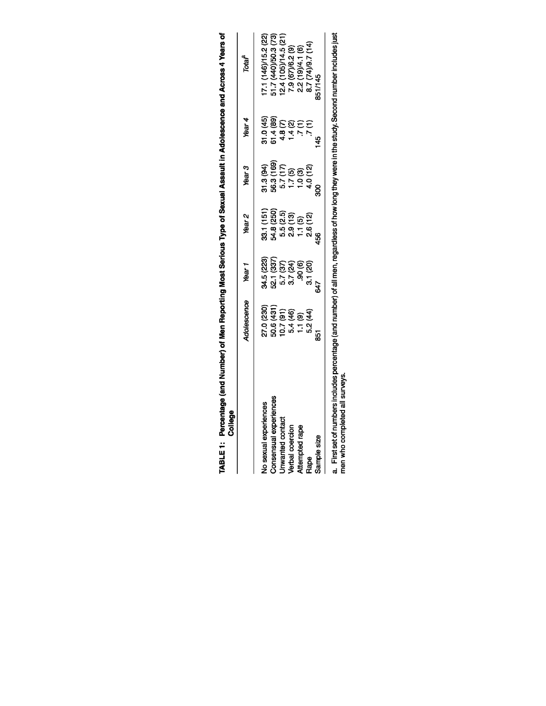| Adolescence | Year <sub>1</sub>                                              | Year <sub>2</sub>                                            | Year 3                                                         | Year <sub>4</sub>                                                     | Total <sup>a</sup>                                                                                                                |
|-------------|----------------------------------------------------------------|--------------------------------------------------------------|----------------------------------------------------------------|-----------------------------------------------------------------------|-----------------------------------------------------------------------------------------------------------------------------------|
|             |                                                                |                                                              |                                                                |                                                                       |                                                                                                                                   |
|             |                                                                |                                                              |                                                                |                                                                       |                                                                                                                                   |
|             |                                                                |                                                              |                                                                |                                                                       |                                                                                                                                   |
|             |                                                                |                                                              |                                                                |                                                                       | 17.1 (146)/15.2 (22)<br>51.7 (440)/50.3 (73)<br>12.4 (105)/14.5 (21)<br>7.9 (67)/6.2 (9)<br>2.2 (19)/4.1 (6)<br>8.7 (74)/9.7 (14) |
|             |                                                                |                                                              |                                                                |                                                                       |                                                                                                                                   |
|             |                                                                |                                                              |                                                                |                                                                       |                                                                                                                                   |
| 55          | 247                                                            |                                                              |                                                                |                                                                       | 351/145                                                                                                                           |
|             |                                                                |                                                              |                                                                |                                                                       |                                                                                                                                   |
|             | 27.0 (230)<br>50.6 (431)<br>50.6 (46)<br>10.7 (40)<br>5.2 (44) | 34.5 (223)<br>32.1 (337)<br>3.7 (34)<br>3.1 (20)<br>3.1 (20) | 33.1 (151)<br>34.8 (2.5)<br>34.8 (2.5)<br>2.6 (12)<br>2.6 (12) | 31.3 (94)<br>56.3 (169)<br>56.7 (17)<br>57 (18)<br>40 (12)<br>40 (12) | 910 (45)<br>614 8 (C)<br>614 8 (C)<br>51 0 (45)<br>64 45)                                                                         |

TABLE 1: Percentage (and Number) of Men Reporting Most Serious Type of Sexual Assault in Adolescence and Across 4 Years of<br>College

a. First set of numbers includes percentage (and number) of all men, regardless of how long they were in the study. Second number includes just<br>men who completed all surveys.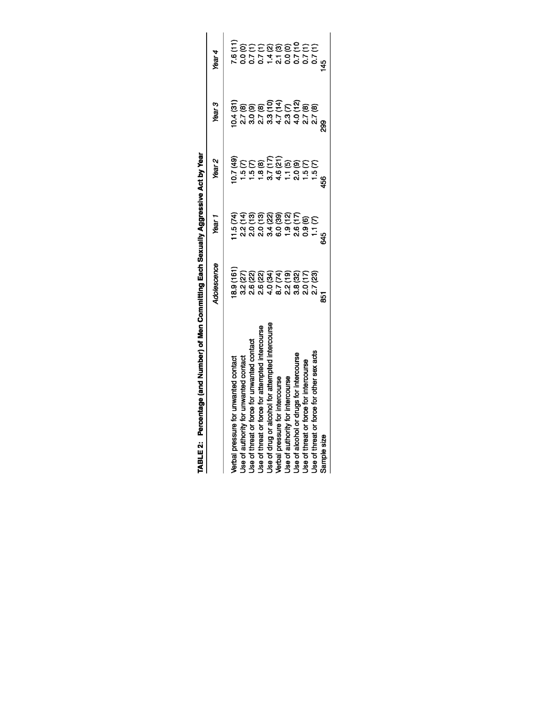|                                                  | Adolescence | Year <sub>1</sub>       | Year 2      | Year 3                                                                 | Year 4  |
|--------------------------------------------------|-------------|-------------------------|-------------|------------------------------------------------------------------------|---------|
| Verbal pressure for unwanted contact             | 8.9 (161    | 1.5(74)                 | $(64)$ (49) | 0.4(31)                                                                | 7.6 (11 |
| Use of authority for unwanted contact            | 3.2(27)     | 2.2(14)                 | 1.5(7)      |                                                                        | 0.0 (O) |
| Use of threat or force for unwanted contact      | 2.6 (22)    | 2.0(13)                 | 1.5(7)      | อิ<br>อิ อิ อิ<br>ฉ ล ล                                                |         |
| Use of threat or force for attempted intercourse | 2.6 (22)    | 2.0(13)                 | 1.8(8)      |                                                                        | 0.7(1)  |
| Use of drug or alcohol for attempted intercourse | 4.0 (34)    |                         | 3.7(17)     |                                                                        | 1.4(2)  |
| Verbal pressure for intercourse                  | 8.7 (74)    | $3.4(22)$<br>6.0 $(39)$ | 4.6 (21)    |                                                                        | 2.1(3)  |
| Use of authority for intercourse                 | 2.2 (19)    | 1.9(12)                 | 1.1(5)      | $\begin{array}{c} 3.3 \\ 4.7 \\ 2.3 \\ \hline \end{array}$<br>4.7 (14) | 0.0 (0) |
| Use of alcohol or drugs for intercourse          | 3.8(32)     | 2.6 (17)                | 2.0(9)      | 4.0 (12)                                                               | 0.7 (10 |
| Use of threat or force for intercourse           | 2.0 (17)    | 0.9(6)                  | 1.5(7)      | 2.7(8)                                                                 | 0.7(1)  |
| Use of threat or force for other sex acts        | 2.7 (23)    | 1.1(7)                  | 1.5(7)      | 2.7(8)                                                                 | 0.7 (1) |
| Sample size                                      | .<br>83     | 345                     | 456         | 88                                                                     |         |

| į                     |
|-----------------------|
|                       |
|                       |
|                       |
|                       |
|                       |
|                       |
|                       |
|                       |
|                       |
|                       |
|                       |
|                       |
|                       |
| i<br>I<br>I<br>I<br>I |
|                       |
|                       |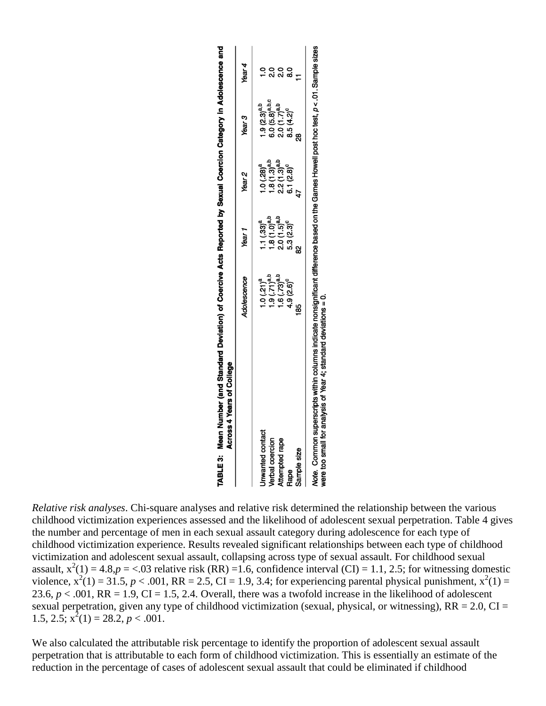|                         | TABLE 3: Mean Number (and Standard Deviation) of Coercive Acts Reported by Sexual Coercion Category in Adolescence and<br>Across 4 Years of College                                                              |                  |                           |                           |                              |                  |
|-------------------------|------------------------------------------------------------------------------------------------------------------------------------------------------------------------------------------------------------------|------------------|---------------------------|---------------------------|------------------------------|------------------|
|                         |                                                                                                                                                                                                                  | Adolescence      | Year <sub>1</sub>         | Year <sub>2</sub>         | Year 3                       | Year 4           |
| <b>Unwanted contact</b> |                                                                                                                                                                                                                  | $1.0(21)^{a}$    | $1.1(.33)$ <sup>a</sup>   | $1.0 (0.28)$ <sup>a</sup> | $1.9(2.3)^{a,b}$             |                  |
| <b>Verbal coercion</b>  |                                                                                                                                                                                                                  | $1.9(.71)^{a,b}$ | $1.8(1.0)$ <sup>a,b</sup> | $1.8(1.3)^{a,b}$          | $6.0 (5.8)$ <sup>a,b,c</sup> | ្លុ              |
| Attempted rape          |                                                                                                                                                                                                                  | $1.6(.73)^{a,b}$ | $2.0(1.5)^{a,b}$          | $2.2(1.3)^{a,b}$          | $2.0(1.7)^{a,b}$             | 2.0              |
| Rape                    |                                                                                                                                                                                                                  | $4.9(2.6)^c$     | $5.3(2.3)^c$              | $6.1(2.8)^c$              | $8.5(4.2)^c$                 | $\overline{8.0}$ |
| Sample size             |                                                                                                                                                                                                                  | 185              |                           |                           |                              |                  |
|                         | Note. Common superscripts within columns indicate nonsignificant difference based on the Garnes Howell post hoc test, $p < 0$ 1. Sample sizes<br>were too small for analysis of Year 4; standard deviations = 0. |                  |                           |                           |                              |                  |

*Relative risk analyses*. Chi-square analyses and relative risk determined the relationship between the various childhood victimization experiences assessed and the likelihood of adolescent sexual perpetration. Table 4 gives the number and percentage of men in each sexual assault category during adolescence for each type of childhood victimization experience. Results revealed significant relationships between each type of childhood victimization and adolescent sexual assault, collapsing across type of sexual assault. For childhood sexual assault,  $x^2(1) = 4.8, p = <.03$  relative risk (RR) = 1.6, confidence interval (CI) = 1.1, 2.5; for witnessing domestic violence,  $x^2(1) = 31.5$ ,  $p < .001$ , RR = 2.5, CI = 1.9, 3.4; for experiencing parental physical punishment,  $x^2(1) =$ 23.6,  $p < .001$ , RR = 1.9, CI = 1.5, 2.4. Overall, there was a twofold increase in the likelihood of adolescent sexual perpetration, given any type of childhood victimization (sexual, physical, or witnessing),  $RR = 2.0$ ,  $CI =$ 1.5, 2.5;  $x^2(1) = 28.2$ ,  $p < .001$ .

We also calculated the attributable risk percentage to identify the proportion of adolescent sexual assault perpetration that is attributable to each form of childhood victimization. This is essentially an estimate of the reduction in the percentage of cases of adolescent sexual assault that could be eliminated if childhood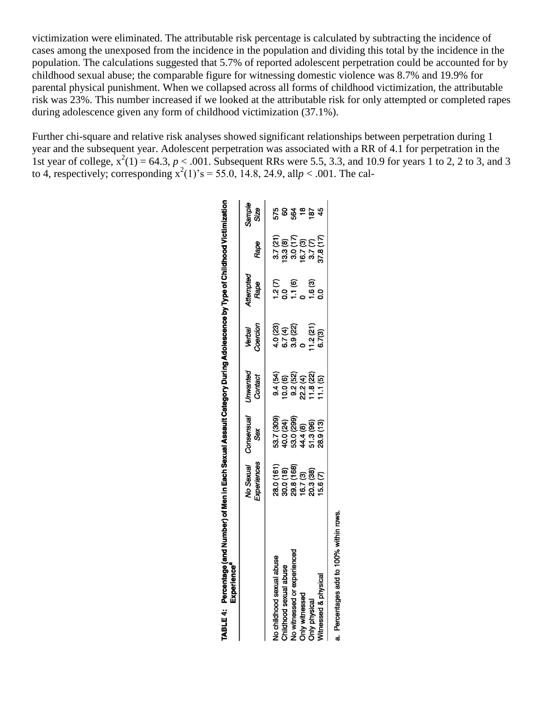victimization were eliminated. The attributable risk percentage is calculated by subtracting the incidence of cases among the unexposed from the incidence in the population and dividing this total by the incidence in the population. The calculations suggested that 5.7% of reported adolescent perpetration could be accounted for by childhood sexual abuse; the comparable figure for witnessing domestic violence was 8.7% and 19.9% for parental physical punishment. When we collapsed across all forms of childhood victimization, the attributable risk was 23%. This number increased if we looked at the attributable risk for only attempted or completed rapes during adolescence given any form of childhood victimization (37.1%).

Further chi-square and relative risk analyses showed significant relationships between perpetration during 1 year and the subsequent year. Adolescent perpetration was associated with a RR of 4.1 for perpetration in the 1st year of college,  $x^2(1) = 64.3$ ,  $p < .001$ . Subsequent RRs were 5.5, 3.3, and 10.9 for years 1 to 2, 2 to 3, and 3 to 4, respectively; corresponding  $x^2(1)$ 's = 55.0, 14.8, 24.9, all $p < .001$ . The cal-

| TABLE 4: Percentage (and Number) of Men in Each Sexual Assault Category During Adolescence by Type of Childhood Victimization<br>Experience <sup>s</sup> |                                                   |                                                                             |                                                                        |                                   |                                    |                                                                                                                                                              |                    |
|----------------------------------------------------------------------------------------------------------------------------------------------------------|---------------------------------------------------|-----------------------------------------------------------------------------|------------------------------------------------------------------------|-----------------------------------|------------------------------------|--------------------------------------------------------------------------------------------------------------------------------------------------------------|--------------------|
|                                                                                                                                                          | No Sexual<br>Experiences                          | Consensual<br>Sex                                                           | Unwanted<br>Contact                                                    | Verbal<br>Coercion                | Attempted<br>Rape                  | Rape                                                                                                                                                         | Sample<br>Size     |
| No childhood sexual abuse                                                                                                                                |                                                   |                                                                             |                                                                        |                                   |                                    |                                                                                                                                                              |                    |
| Childhood sexual abuse                                                                                                                                   | 28.0 (161)<br>30.0 (18)<br>29.8 (168)<br>16.7 (3) |                                                                             |                                                                        | $4.0$ (23)<br>6.7 (4)<br>6.9 (22) | C<br>0.0 (6)<br>- 0 - 0<br>- 0 - 0 |                                                                                                                                                              | 5 8 8 8<br>5 9 9 9 |
| No witnessed or experienced                                                                                                                              |                                                   |                                                                             |                                                                        |                                   |                                    |                                                                                                                                                              |                    |
| Only witnessed                                                                                                                                           |                                                   |                                                                             |                                                                        |                                   |                                    |                                                                                                                                                              |                    |
| Only physical                                                                                                                                            |                                                   |                                                                             |                                                                        | 1.2(21)                           | 1.6(3)                             |                                                                                                                                                              | 87                 |
| Witnessed & physical                                                                                                                                     | 20.3 (38)<br>15.6 (7)                             | 53.7 (309)<br>40.0 (24)<br>40.0 (299)<br>44.4 (8)<br>51.3 (13)<br>28.9 (13) | 9.4 (54)<br>10.0 (52)<br>10.0 (32)<br>11.1 (5)<br>11.1 (5)<br>11.1 (5) | 6.7(3)                            |                                    | $\begin{array}{c} 3.7 \ (21) \\ 3.8 \ (8) \\ 13.3 \ (17) \\ 3.0 \ (17) \\ 6.7 \ (17) \\ 3.7 \ (17) \\ 3.8 \ (17) \\ 3.8 \ (17) \\ 3.9 \ (17) \\ \end{array}$ |                    |
| a. Percentages add to 100% within rows.                                                                                                                  |                                                   |                                                                             |                                                                        |                                   |                                    |                                                                                                                                                              |                    |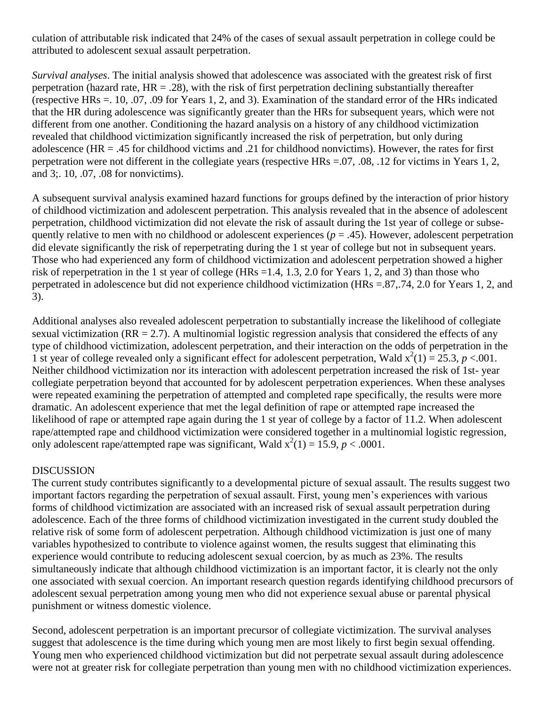culation of attributable risk indicated that 24% of the cases of sexual assault perpetration in college could be attributed to adolescent sexual assault perpetration.

*Survival analyses*. The initial analysis showed that adolescence was associated with the greatest risk of first perpetration (hazard rate,  $HR = .28$ ), with the risk of first perpetration declining substantially thereafter (respective HRs =. 10, .07, .09 for Years 1, 2, and 3). Examination of the standard error of the HRs indicated that the HR during adolescence was significantly greater than the HRs for subsequent years, which were not different from one another. Conditioning the hazard analysis on a history of any childhood victimization revealed that childhood victimization significantly increased the risk of perpetration, but only during adolescence (HR = .45 for childhood victims and .21 for childhood nonvictims). However, the rates for first perpetration were not different in the collegiate years (respective HRs =.07, .08, .12 for victims in Years 1, 2, and 3;. 10, .07, .08 for nonvictims).

A subsequent survival analysis examined hazard functions for groups defined by the interaction of prior history of childhood victimization and adolescent perpetration. This analysis revealed that in the absence of adolescent perpetration, childhood victimization did not elevate the risk of assault during the 1st year of college or subsequently relative to men with no childhood or adolescent experiences ( $p = .45$ ). However, adolescent perpetration did elevate significantly the risk of reperpetrating during the 1 st year of college but not in subsequent years. Those who had experienced any form of childhood victimization and adolescent perpetration showed a higher risk of reperpetration in the 1 st year of college (HRs =1.4, 1.3, 2.0 for Years 1, 2, and 3) than those who perpetrated in adolescence but did not experience childhood victimization (HRs =.87,.74, 2.0 for Years 1, 2, and 3).

Additional analyses also revealed adolescent perpetration to substantially increase the likelihood of collegiate sexual victimization ( $RR = 2.7$ ). A multinomial logistic regression analysis that considered the effects of any type of childhood victimization, adolescent perpetration, and their interaction on the odds of perpetration in the 1 st year of college revealed only a significant effect for adolescent perpetration, Wald  $x^2(1) = 25.3$ ,  $p < 0.001$ . Neither childhood victimization nor its interaction with adolescent perpetration increased the risk of 1st- year collegiate perpetration beyond that accounted for by adolescent perpetration experiences. When these analyses were repeated examining the perpetration of attempted and completed rape specifically, the results were more dramatic. An adolescent experience that met the legal definition of rape or attempted rape increased the likelihood of rape or attempted rape again during the 1 st year of college by a factor of 11.2. When adolescent rape/attempted rape and childhood victimization were considered together in a multinomial logistic regression, only adolescent rape/attempted rape was significant, Wald  $x^2(1) = 15.9$ ,  $p < .0001$ .

## DISCUSSION

The current study contributes significantly to a developmental picture of sexual assault. The results suggest two important factors regarding the perpetration of sexual assault. First, young men's experiences with various forms of childhood victimization are associated with an increased risk of sexual assault perpetration during adolescence. Each of the three forms of childhood victimization investigated in the current study doubled the relative risk of some form of adolescent perpetration. Although childhood victimization is just one of many variables hypothesized to contribute to violence against women, the results suggest that eliminating this experience would contribute to reducing adolescent sexual coercion, by as much as 23%. The results simultaneously indicate that although childhood victimization is an important factor, it is clearly not the only one associated with sexual coercion. An important research question regards identifying childhood precursors of adolescent sexual perpetration among young men who did not experience sexual abuse or parental physical punishment or witness domestic violence.

Second, adolescent perpetration is an important precursor of collegiate victimization. The survival analyses suggest that adolescence is the time during which young men are most likely to first begin sexual offending. Young men who experienced childhood victimization but did not perpetrate sexual assault during adolescence were not at greater risk for collegiate perpetration than young men with no childhood victimization experiences.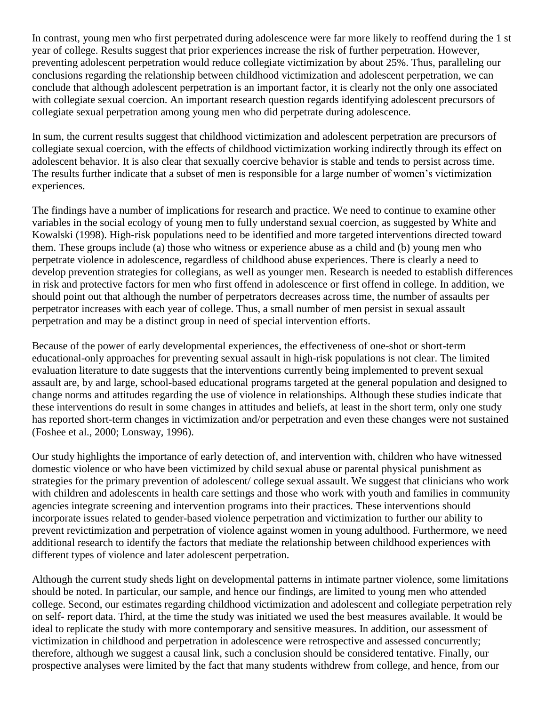In contrast, young men who first perpetrated during adolescence were far more likely to reoffend during the 1 st year of college. Results suggest that prior experiences increase the risk of further perpetration. However, preventing adolescent perpetration would reduce collegiate victimization by about 25%. Thus, paralleling our conclusions regarding the relationship between childhood victimization and adolescent perpetration, we can conclude that although adolescent perpetration is an important factor, it is clearly not the only one associated with collegiate sexual coercion. An important research question regards identifying adolescent precursors of collegiate sexual perpetration among young men who did perpetrate during adolescence.

In sum, the current results suggest that childhood victimization and adolescent perpetration are precursors of collegiate sexual coercion, with the effects of childhood victimization working indirectly through its effect on adolescent behavior. It is also clear that sexually coercive behavior is stable and tends to persist across time. The results further indicate that a subset of men is responsible for a large number of women's victimization experiences.

The findings have a number of implications for research and practice. We need to continue to examine other variables in the social ecology of young men to fully understand sexual coercion, as suggested by White and Kowalski (1998). High-risk populations need to be identified and more targeted interventions directed toward them. These groups include (a) those who witness or experience abuse as a child and (b) young men who perpetrate violence in adolescence, regardless of childhood abuse experiences. There is clearly a need to develop prevention strategies for collegians, as well as younger men. Research is needed to establish differences in risk and protective factors for men who first offend in adolescence or first offend in college. In addition, we should point out that although the number of perpetrators decreases across time, the number of assaults per perpetrator increases with each year of college. Thus, a small number of men persist in sexual assault perpetration and may be a distinct group in need of special intervention efforts.

Because of the power of early developmental experiences, the effectiveness of one-shot or short-term educational-only approaches for preventing sexual assault in high-risk populations is not clear. The limited evaluation literature to date suggests that the interventions currently being implemented to prevent sexual assault are, by and large, school-based educational programs targeted at the general population and designed to change norms and attitudes regarding the use of violence in relationships. Although these studies indicate that these interventions do result in some changes in attitudes and beliefs, at least in the short term, only one study has reported short-term changes in victimization and/or perpetration and even these changes were not sustained (Foshee et al., 2000; Lonsway, 1996).

Our study highlights the importance of early detection of, and intervention with, children who have witnessed domestic violence or who have been victimized by child sexual abuse or parental physical punishment as strategies for the primary prevention of adolescent/ college sexual assault. We suggest that clinicians who work with children and adolescents in health care settings and those who work with youth and families in community agencies integrate screening and intervention programs into their practices. These interventions should incorporate issues related to gender-based violence perpetration and victimization to further our ability to prevent revictimization and perpetration of violence against women in young adulthood. Furthermore, we need additional research to identify the factors that mediate the relationship between childhood experiences with different types of violence and later adolescent perpetration.

Although the current study sheds light on developmental patterns in intimate partner violence, some limitations should be noted. In particular, our sample, and hence our findings, are limited to young men who attended college. Second, our estimates regarding childhood victimization and adolescent and collegiate perpetration rely on self- report data. Third, at the time the study was initiated we used the best measures available. It would be ideal to replicate the study with more contemporary and sensitive measures. In addition, our assessment of victimization in childhood and perpetration in adolescence were retrospective and assessed concurrently; therefore, although we suggest a causal link, such a conclusion should be considered tentative. Finally, our prospective analyses were limited by the fact that many students withdrew from college, and hence, from our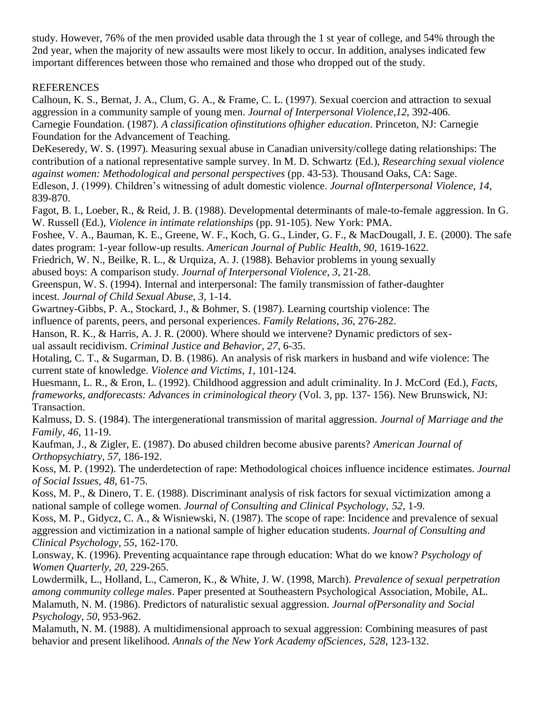study. However, 76% of the men provided usable data through the 1 st year of college, and 54% through the 2nd year, when the majority of new assaults were most likely to occur. In addition, analyses indicated few important differences between those who remained and those who dropped out of the study.

# REFERENCES

Calhoun, K. S., Bernat, J. A., Clum, G. A., & Frame, C. L. (1997). Sexual coercion and attraction to sexual aggression in a community sample of young men. *Journal of Interpersonal Violence*,*12*, 392-406. Carnegie Foundation. (1987). *A classification ofinstitutions ofhigher education*. Princeton, NJ: Carnegie Foundation for the Advancement of Teaching.

DeKeseredy, W. S. (1997). Measuring sexual abuse in Canadian university/college dating relationships: The contribution of a national representative sample survey. In M. D. Schwartz (Ed.), *Researching sexual violence against women: Methodological and personal perspectives* (pp. 43-53). Thousand Oaks, CA: Sage. Edleson, J. (1999). Children's witnessing of adult domestic violence. *Journal ofInterpersonal Violence*, *14*, 839-870.

Fagot, B. I., Loeber, R., & Reid, J. B. (1988). Developmental determinants of male-to-female aggression. In G. W. Russell (Ed.), *Violence in intimate relationships* (pp. 91-105). New York: PMA.

Foshee, V. A., Bauman, K. E., Greene, W. F., Koch, G. G., Linder, G. F., & MacDougall, J. E. (2000). The safe dates program: 1-year follow-up results. *American Journal of Public Health*, *90*, 1619-1622.

Friedrich, W. N., Beilke, R. L., & Urquiza, A. J. (1988). Behavior problems in young sexually abused boys: A comparison study. *Journal of Interpersonal Violence*, *3*, 21-28.

Greenspun, W. S. (1994). Internal and interpersonal: The family transmission of father-daughter incest. *Journal of Child Sexual Abuse*, *3*, 1-14.

Gwartney-Gibbs, P. A., Stockard, J., & Bohmer, S. (1987). Learning courtship violence: The influence of parents, peers, and personal experiences. *Family Relations*, *36*, 276-282.

Hanson, R. K., & Harris, A. J. R. (2000). Where should we intervene? Dynamic predictors of sexual assault recidivism. *Criminal Justice and Behavior*, *27*, 6-35.

Hotaling, C. T., & Sugarman, D. B. (1986). An analysis of risk markers in husband and wife violence: The current state of knowledge. *Violence and Victims*, *1*, 101-124.

Huesmann, L. R., & Eron, L. (1992). Childhood aggression and adult criminality. In J. McCord (Ed.), *Facts, frameworks, andforecasts: Advances in criminological theory* (Vol. 3, pp. 137- 156). New Brunswick, NJ: Transaction.

Kalmuss, D. S. (1984). The intergenerational transmission of marital aggression. *Journal of Marriage and the Family*, *46*, 11-19.

Kaufman, J., & Zigler, E. (1987). Do abused children become abusive parents? *American Journal of Orthopsychiatry*, *57*, 186-192.

Koss, M. P. (1992). The underdetection of rape: Methodological choices influence incidence estimates. *Journal of Social Issues*, *48*, 61-75.

Koss, M. P., & Dinero, T. E. (1988). Discriminant analysis of risk factors for sexual victimization among a national sample of college women. *Journal of Consulting and Clinical Psychology*, *52*, 1-9.

Koss, M. P., Gidycz, C. A., & Wisniewski, N. (1987). The scope of rape: Incidence and prevalence of sexual aggression and victimization in a national sample of higher education students. *Journal of Consulting and Clinical Psychology*, *55*, 162-170.

Lonsway, K. (1996). Preventing acquaintance rape through education: What do we know? *Psychology of Women Quarterly*, *20*, 229-265.

Lowdermilk, L., Holland, L., Cameron, K., & White, J. W. (1998, March). *Prevalence of sexual perpetration among community college males*. Paper presented at Southeastern Psychological Association, Mobile, AL. Malamuth, N. M. (1986). Predictors of naturalistic sexual aggression. *Journal ofPersonality and Social Psychology*, *50*, 953-962.

Malamuth, N. M. (1988). A multidimensional approach to sexual aggression: Combining measures of past behavior and present likelihood. *Annals of the New York Academy ofSciences*, *528*, 123-132.